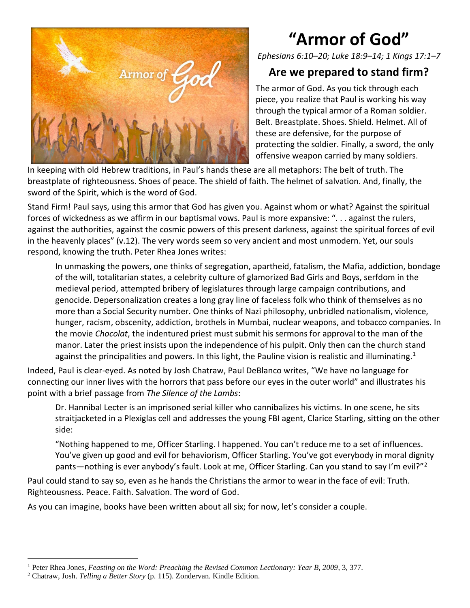

## **"Armor of God"**

*Ephesians 6:10–20; Luke 18:9–14; 1 Kings 17:1–7*

## **Are we prepared to stand firm?**

The armor of God. As you tick through each piece, you realize that Paul is working his way through the typical armor of a Roman soldier. Belt. Breastplate. Shoes. Shield. Helmet. All of these are defensive, for the purpose of protecting the soldier. Finally, a sword, the only offensive weapon carried by many soldiers.

In keeping with old Hebrew traditions, in Paul's hands these are all metaphors: The belt of truth. The breastplate of righteousness. Shoes of peace. The shield of faith. The helmet of salvation. And, finally, the sword of the Spirit, which is the word of God.

Stand Firm! Paul says, using this armor that God has given you. Against whom or what? Against the spiritual forces of wickedness as we affirm in our baptismal vows. Paul is more expansive: ". . . against the rulers, against the authorities, against the cosmic powers of this present darkness, against the spiritual forces of evil in the heavenly places" (v.12). The very words seem so very ancient and most unmodern. Yet, our souls respond, knowing the truth. Peter Rhea Jones writes:

In unmasking the powers, one thinks of segregation, apartheid, fatalism, the Mafia, addiction, bondage of the will, totalitarian states, a celebrity culture of glamorized Bad Girls and Boys, serfdom in the medieval period, attempted bribery of legislatures through large campaign contributions, and genocide. Depersonalization creates a long gray line of faceless folk who think of themselves as no more than a Social Security number. One thinks of Nazi philosophy, unbridled nationalism, violence, hunger, racism, obscenity, addiction, brothels in Mumbai, nuclear weapons, and tobacco companies. In the movie *Chocolat*, the indentured priest must submit his sermons for approval to the man of the manor. Later the priest insists upon the independence of his pulpit. Only then can the church stand against the principalities and powers. In this light, the Pauline vision is realistic and illuminating.<sup>1</sup>

Indeed, Paul is clear-eyed. As noted by Josh Chatraw, Paul DeBlanco writes, "We have no language for connecting our inner lives with the horrors that pass before our eyes in the outer world" and illustrates his point with a brief passage from *The Silence of the Lambs*:

Dr. Hannibal Lecter is an imprisoned serial killer who cannibalizes his victims. In one scene, he sits straitjacketed in a Plexiglas cell and addresses the young FBI agent, Clarice Starling, sitting on the other side:

"Nothing happened to me, Officer Starling. I happened. You can't reduce me to a set of influences. You've given up good and evil for behaviorism, Officer Starling. You've got everybody in moral dignity pants—nothing is ever anybody's fault. Look at me, Officer Starling. Can you stand to say I'm evil?"<sup>2</sup>

Paul could stand to say so, even as he hands the Christians the armor to wear in the face of evil: Truth. Righteousness. Peace. Faith. Salvation. The word of God.

As you can imagine, books have been written about all six; for now, let's consider a couple.

<sup>1</sup> Peter Rhea Jones, *Feasting on the Word: Preaching the Revised Common Lectionary: Year B, 2009*, 3, 377.

<sup>2</sup> Chatraw, Josh. *Telling a Better Story* (p. 115). Zondervan. Kindle Edition.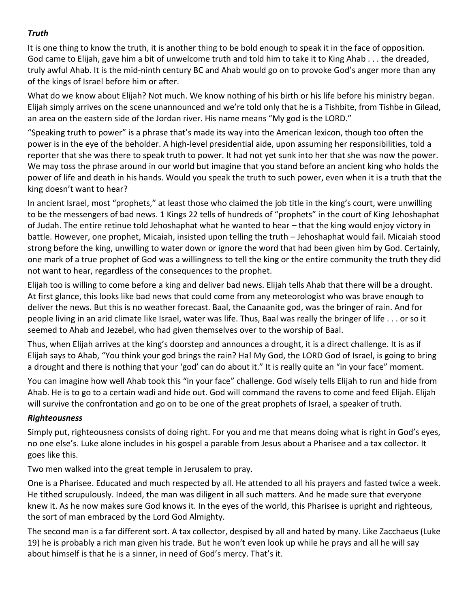## *Truth*

It is one thing to know the truth, it is another thing to be bold enough to speak it in the face of opposition. God came to Elijah, gave him a bit of unwelcome truth and told him to take it to King Ahab . . . the dreaded, truly awful Ahab. It is the mid-ninth century BC and Ahab would go on to provoke God's anger more than any of the kings of Israel before him or after.

What do we know about Elijah? Not much. We know nothing of his birth or his life before his ministry began. Elijah simply arrives on the scene unannounced and we're told only that he is a Tishbite, from Tishbe in Gilead, an area on the eastern side of the Jordan river. His name means "My god is the LORD."

"Speaking truth to power" is a phrase that's made its way into the American lexicon, though too often the power is in the eye of the beholder. A high-level presidential aide, upon assuming her responsibilities, told a reporter that she was there to speak truth to power. It had not yet sunk into her that she was now the power. We may toss the phrase around in our world but imagine that you stand before an ancient king who holds the power of life and death in his hands. Would you speak the truth to such power, even when it is a truth that the king doesn't want to hear?

In ancient Israel, most "prophets," at least those who claimed the job title in the king's court, were unwilling to be the messengers of bad news. 1 Kings 22 tells of hundreds of "prophets" in the court of King Jehoshaphat of Judah. The entire retinue told Jehoshaphat what he wanted to hear – that the king would enjoy victory in battle. However, one prophet, Micaiah, insisted upon telling the truth – Jehoshaphat would fail. Micaiah stood strong before the king, unwilling to water down or ignore the word that had been given him by God. Certainly, one mark of a true prophet of God was a willingness to tell the king or the entire community the truth they did not want to hear, regardless of the consequences to the prophet.

Elijah too is willing to come before a king and deliver bad news. Elijah tells Ahab that there will be a drought. At first glance, this looks like bad news that could come from any meteorologist who was brave enough to deliver the news. But this is no weather forecast. Baal, the Canaanite god, was the bringer of rain. And for people living in an arid climate like Israel, water was life. Thus, Baal was really the bringer of life . . . or so it seemed to Ahab and Jezebel, who had given themselves over to the worship of Baal.

Thus, when Elijah arrives at the king's doorstep and announces a drought, it is a direct challenge. It is as if Elijah says to Ahab, "You think your god brings the rain? Ha! My God, the LORD God of Israel, is going to bring a drought and there is nothing that your 'god' can do about it." It is really quite an "in your face" moment.

You can imagine how well Ahab took this "in your face" challenge. God wisely tells Elijah to run and hide from Ahab. He is to go to a certain wadi and hide out. God will command the ravens to come and feed Elijah. Elijah will survive the confrontation and go on to be one of the great prophets of Israel, a speaker of truth.

## *Righteousness*

Simply put, righteousness consists of doing right. For you and me that means doing what is right in God's eyes, no one else's. Luke alone includes in his gospel a parable from Jesus about a Pharisee and a tax collector. It goes like this.

Two men walked into the great temple in Jerusalem to pray.

One is a Pharisee. Educated and much respected by all. He attended to all his prayers and fasted twice a week. He tithed scrupulously. Indeed, the man was diligent in all such matters. And he made sure that everyone knew it. As he now makes sure God knows it. In the eyes of the world, this Pharisee is upright and righteous, the sort of man embraced by the Lord God Almighty.

The second man is a far different sort. A tax collector, despised by all and hated by many. Like Zacchaeus (Luke 19) he is probably a rich man given his trade. But he won't even look up while he prays and all he will say about himself is that he is a sinner, in need of God's mercy. That's it.